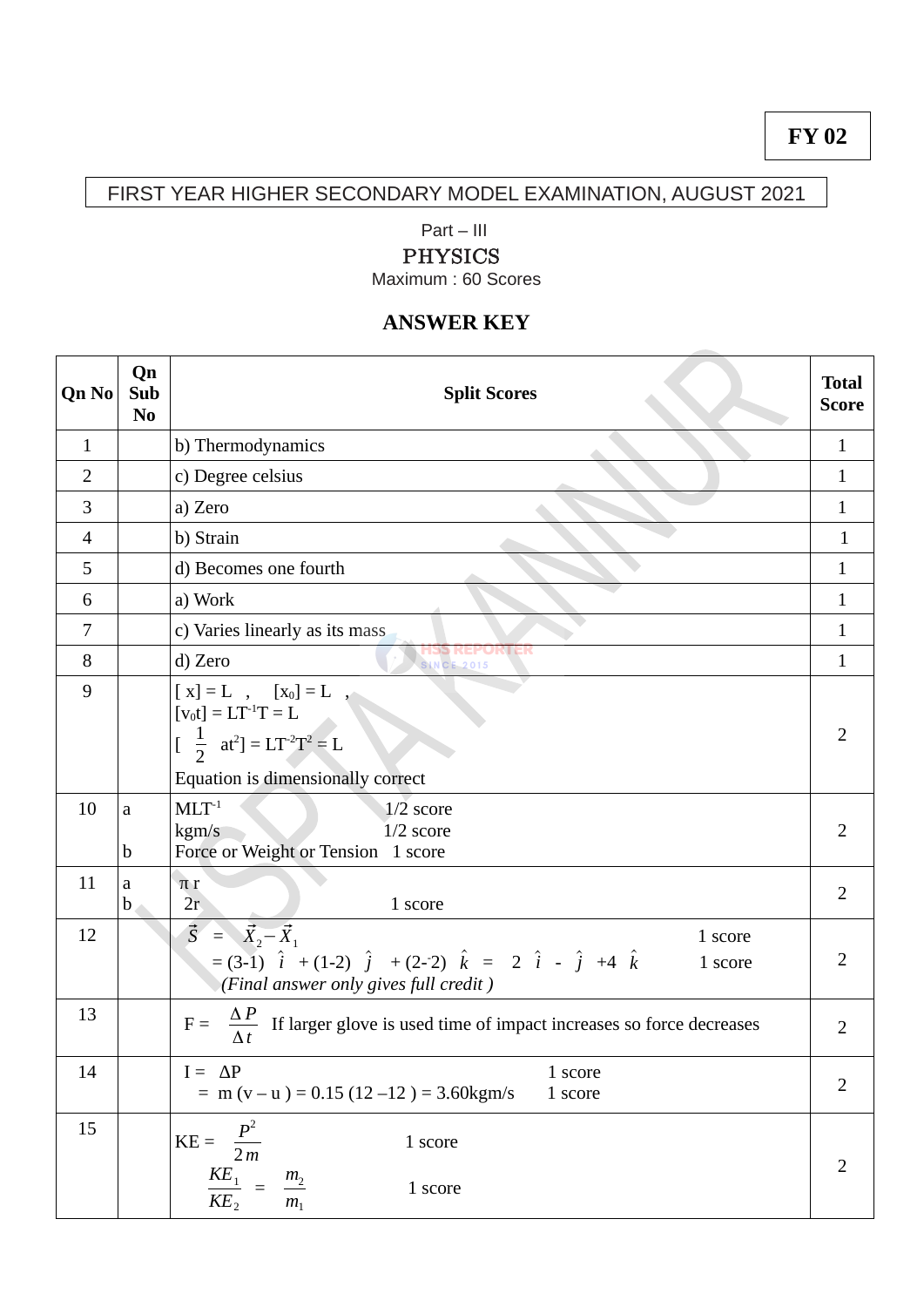## FIRST YEAR HIGHER SECONDARY MODEL EXAMINATION, AUGUST 2021

#### Part – III

### PHYSICS

Maximum : 60 Scores

# **ANSWER KEY**

| <b>Qn No</b>   | Qn<br>Sub<br>N <sub>0</sub> | <b>Split Scores</b>                                                                                                                                                                                                                                                      | <b>Total</b><br><b>Score</b> |
|----------------|-----------------------------|--------------------------------------------------------------------------------------------------------------------------------------------------------------------------------------------------------------------------------------------------------------------------|------------------------------|
| $\mathbf{1}$   |                             | b) Thermodynamics                                                                                                                                                                                                                                                        | $\mathbf{1}$                 |
| $\overline{2}$ |                             | c) Degree celsius                                                                                                                                                                                                                                                        | $\mathbf{1}$                 |
| 3              |                             | a) Zero                                                                                                                                                                                                                                                                  | $\mathbf{1}$                 |
| 4              |                             | b) Strain                                                                                                                                                                                                                                                                | $\mathbf{1}$                 |
| 5              |                             | d) Becomes one fourth                                                                                                                                                                                                                                                    | $\mathbf{1}$                 |
| 6              |                             | a) Work                                                                                                                                                                                                                                                                  | $\mathbf{1}$                 |
| 7              |                             | c) Varies linearly as its mass                                                                                                                                                                                                                                           | $\mathbf{1}$                 |
| 8              |                             | HƏ <b>Ə</b> KEPORTER<br>d) Zero<br><b>SINCE 2015</b>                                                                                                                                                                                                                     | $\mathbf{1}$                 |
| 9              |                             | $\left[\begin{array}{ccc} \mathbf{x} \end{array}\right] = \mathbf{L} \quad , \quad \left[\begin{array}{ccc} \mathbf{x}_0 \end{array}\right] = \mathbf{L}$<br>$[v_0t] = LT^{-1}T = L$<br>$\left[\begin{array}{cc} \frac{1}{2} & at^2 \end{array}\right] = LT^{-2}T^2 = L$ | $\overline{2}$               |
|                |                             | Equation is dimensionally correct                                                                                                                                                                                                                                        |                              |
| 10             | a<br>$\mathbf b$            | $MLT^{-1}$<br>$1/2$ score<br>kgm/s<br>$1/2$ score<br>Force or Weight or Tension 1 score                                                                                                                                                                                  | $\overline{2}$               |
| 11             | a<br>$\mathbf b$            | $\pi r$<br>2r<br>1 score                                                                                                                                                                                                                                                 | $\overline{2}$               |
| 12             |                             | $\vec{S} = \vec{X}_2 - \vec{X}_1$<br>1 score<br>$=(3-1)$ $\hat{i}$ + (1-2) $\hat{j}$ + (2-2) $\hat{k}$ = 2 $\hat{i}$ - $\hat{j}$ +4 $\hat{k}$<br>1 score<br>(Final answer only gives full credit)                                                                        | $\overline{2}$               |
| 13             |                             | If larger glove is used time of impact increases so force decreases<br>$F =$<br>Δt                                                                                                                                                                                       | $\overline{2}$               |
| 14             |                             | $I = \Delta P$<br>1 score<br>$=$ m (v – u ) = 0.15 (12 –12) = 3.60 kgm/s<br>1 score                                                                                                                                                                                      | $\overline{2}$               |
| 15             |                             | $\frac{P^2}{2m}$<br>$KE =$<br>1 score<br>$\frac{KE_1}{KE_2} =$<br>$\frac{m_2}{m_1}$<br>1 score                                                                                                                                                                           | $\overline{2}$               |

# **FY 02**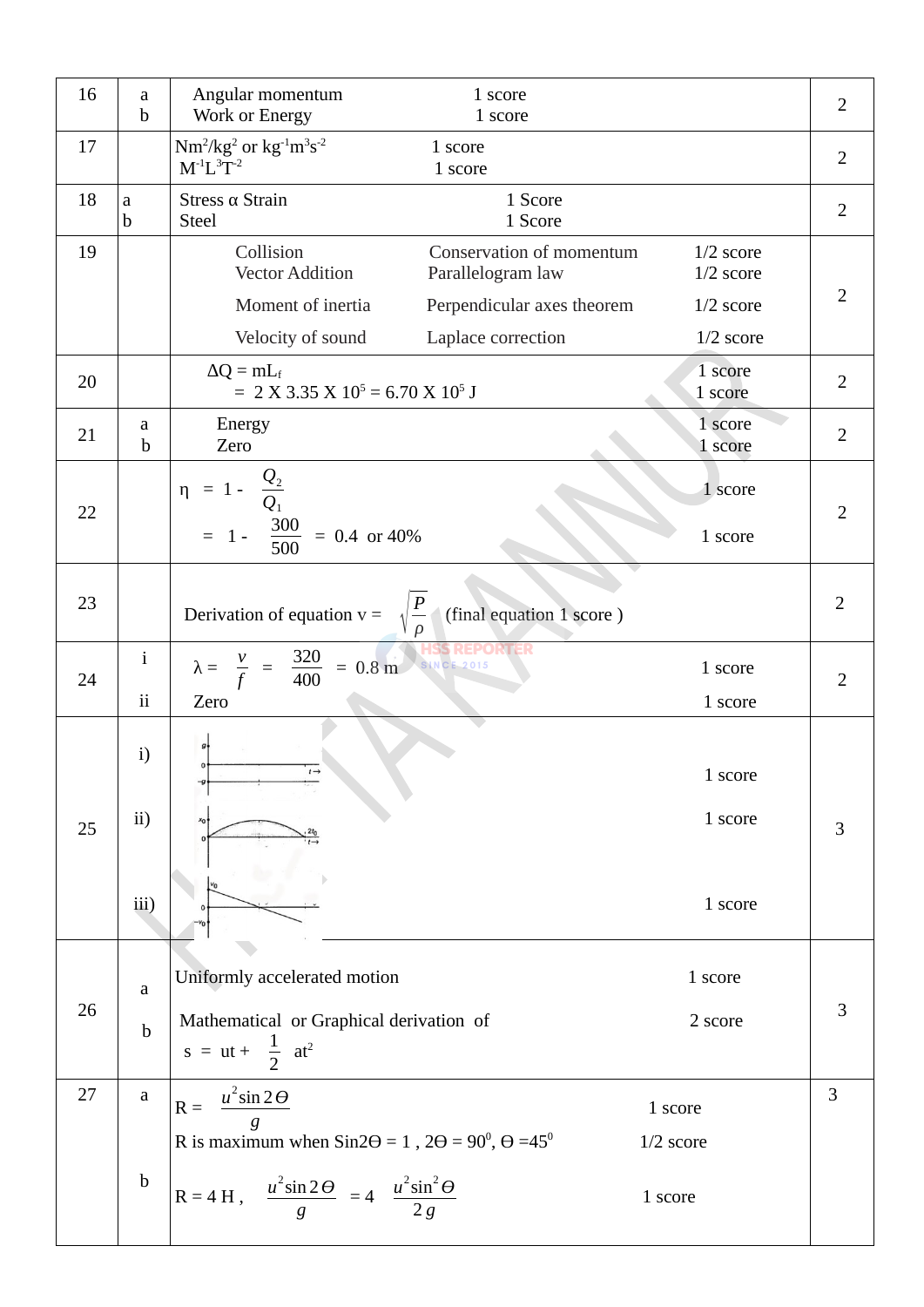| 16 | a<br>$\mathbf b$ | Angular momentum<br>Work or Energy                                                              | 1 score<br>1 score                            |                            | $\overline{2}$ |  |
|----|------------------|-------------------------------------------------------------------------------------------------|-----------------------------------------------|----------------------------|----------------|--|
| 17 |                  | $Nm^2/kg^2$ or $kg^{-1}m^3s^{-2}$<br>$M^{-1}L^3\bar{T}^{-2}$                                    | 1 score<br>1 score                            |                            | $\overline{2}$ |  |
| 18 | a<br>b           | Stress $\alpha$ Strain<br>Steel                                                                 | 1 Score<br>1 Score                            |                            | $\overline{2}$ |  |
| 19 |                  | Collision<br><b>Vector Addition</b>                                                             | Conservation of momentum<br>Parallelogram law | $1/2$ score<br>$1/2$ score |                |  |
|    |                  | Moment of inertia                                                                               | Perpendicular axes theorem                    | $1/2$ score                | 2              |  |
|    |                  | Velocity of sound                                                                               | Laplace correction                            | $1/2$ score                |                |  |
| 20 |                  | $\Delta Q = mL_f$<br>1 score<br>$= 2 X 3.35 X 10^5 = 6.70 X 10^5 J$<br>1 score                  |                                               |                            | $\overline{2}$ |  |
| 21 | a<br>b           | Energy<br>Zero                                                                                  |                                               | 1 score<br>1 score         | $\overline{2}$ |  |
| 22 |                  | $\frac{Q_2}{1 - Q_1}$<br>$\eta$ =<br>1 score<br>= 1 - $\frac{300}{500}$ = 0.4 or 40%<br>1 score |                                               | $\overline{2}$             |                |  |
| 23 |                  | Derivation of equation $v = \sqrt{\frac{P}{m}}$<br>(final equation 1 score)                     |                                               |                            | $\overline{2}$ |  |
| 24 | $\mathbf{i}$     | $\lambda = \frac{v}{f} = \frac{320}{400} = 0.8 \text{ m}$                                       | <b>SINCE 2015</b>                             | 1 score                    | $\overline{2}$ |  |
|    | $\rm ii$         | Zero                                                                                            |                                               | 1 score                    |                |  |
|    | i)               |                                                                                                 |                                               | 1 score                    |                |  |
| 25 | ii)              |                                                                                                 |                                               | 1 score                    | 3              |  |
|    | iii)             |                                                                                                 |                                               | 1 score                    |                |  |
| 26 | $\mathbf a$      | Uniformly accelerated motion                                                                    |                                               | 1 score                    |                |  |
|    |                  | Mathematical or Graphical derivation of                                                         |                                               | 2 score                    | 3              |  |
|    | $\mathbf b$      | s = ut + $\frac{1}{2}$ at <sup>2</sup>                                                          |                                               |                            |                |  |
| 27 | $\mathbf{a}$     | $u^2$ sin 2 $\Theta$<br>$R =$                                                                   |                                               | 1 score                    | 3              |  |
|    |                  | R is maximum when $Sin2\Theta = 1$ , $2\Theta = 90^{\circ}, \Theta = 45^{\circ}$                |                                               | $1/2$ score                |                |  |
|    | $\mathbf b$      | R = 4 H, $\frac{u^2 \sin 2\theta}{g}$ = 4 $\frac{u^2 \sin^2 \theta}{2g}$                        | 1 score                                       |                            |                |  |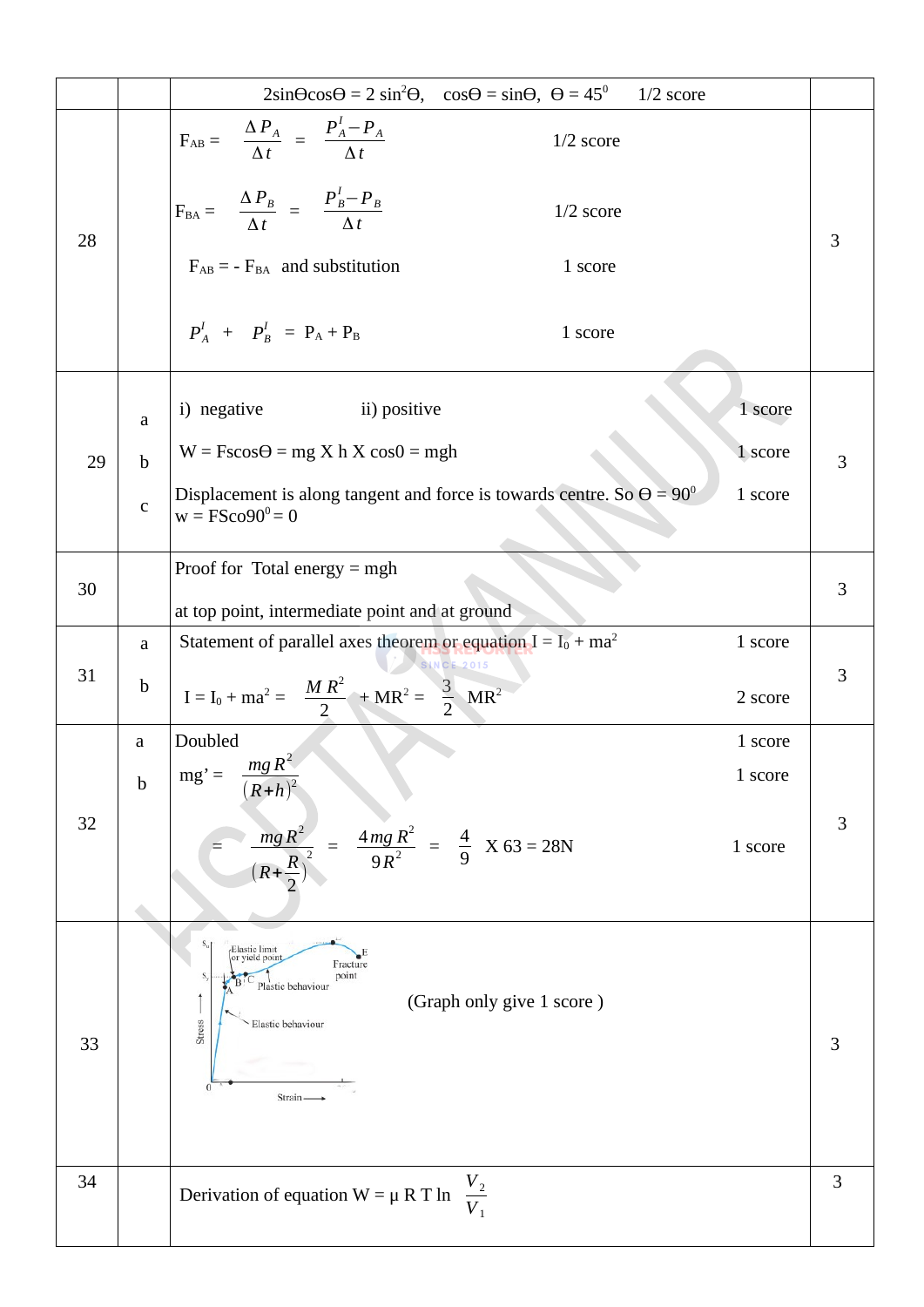|    |             | $2\sin\theta\cos\theta = 2\sin^2\theta$ , $\cos\theta = \sin\theta$ , $\theta = 45^\circ$<br>$1/2$ score                                          |   |  |
|----|-------------|---------------------------------------------------------------------------------------------------------------------------------------------------|---|--|
| 28 |             | $F_{AB} = \frac{\Delta P_A}{\Delta t} = \frac{P_A^I - P_A}{\Delta t}$<br>$1/2$ score                                                              |   |  |
|    |             | $F_{BA} = \frac{\Delta P_B}{\Delta t} = \frac{P_B^I - P_B}{\Delta t}$<br>$1/2$ score                                                              | 3 |  |
|    |             | $F_{AB}$ = - $F_{BA}$ and substitution<br>1 score                                                                                                 |   |  |
|    |             | $P_A^I$ + $P_B^I$ = $P_A + P_B$<br>1 score                                                                                                        |   |  |
|    | a           | i) negative<br>ii) positive<br>1 score                                                                                                            |   |  |
| 29 | $\mathbf b$ | $W = Fscos\Theta = mg X h X cos\theta = mgh$<br>1 score                                                                                           | 3 |  |
|    | $\mathsf C$ | Displacement is along tangent and force is towards centre. So $\Theta = 90^{\circ}$<br>1 score<br>$w = FSCO90^0 = 0$                              |   |  |
|    |             | Proof for Total energy $=$ mgh                                                                                                                    |   |  |
| 30 |             | at top point, intermediate point and at ground                                                                                                    | 3 |  |
|    | a           | Statement of parallel axes theorem or equation $I = I_0 + ma^2$<br>1 score<br><b>SINCE 2015</b>                                                   |   |  |
| 31 | $\mathbf b$ | $I = I_0 + ma^2 = \frac{MR^2}{2} + MR^2 = \frac{3}{2} MR^2$<br>2 score                                                                            | 3 |  |
|    | a           | Doubled<br>1 score                                                                                                                                |   |  |
|    | $\mathbf b$ | $mg' = \frac{mgR^2}{2}$<br>1 score<br>$(R+h)^2$                                                                                                   |   |  |
| 32 |             | $\frac{4mg R^2}{R^2}$ = $\frac{4}{9}$ X 63 = 28N<br>$mgR^2$<br>1 score                                                                            | 3 |  |
| 33 |             | Elastic limit<br>(or yield point<br>Fracture<br>point<br>Plastic behaviour<br>(Graph only give 1 score)<br>Stress<br>Elastic behaviour<br>Strain- | 3 |  |
| 34 |             | $\frac{V_2}{V_1}$<br>Derivation of equation $W = \mu R T \ln$                                                                                     | 3 |  |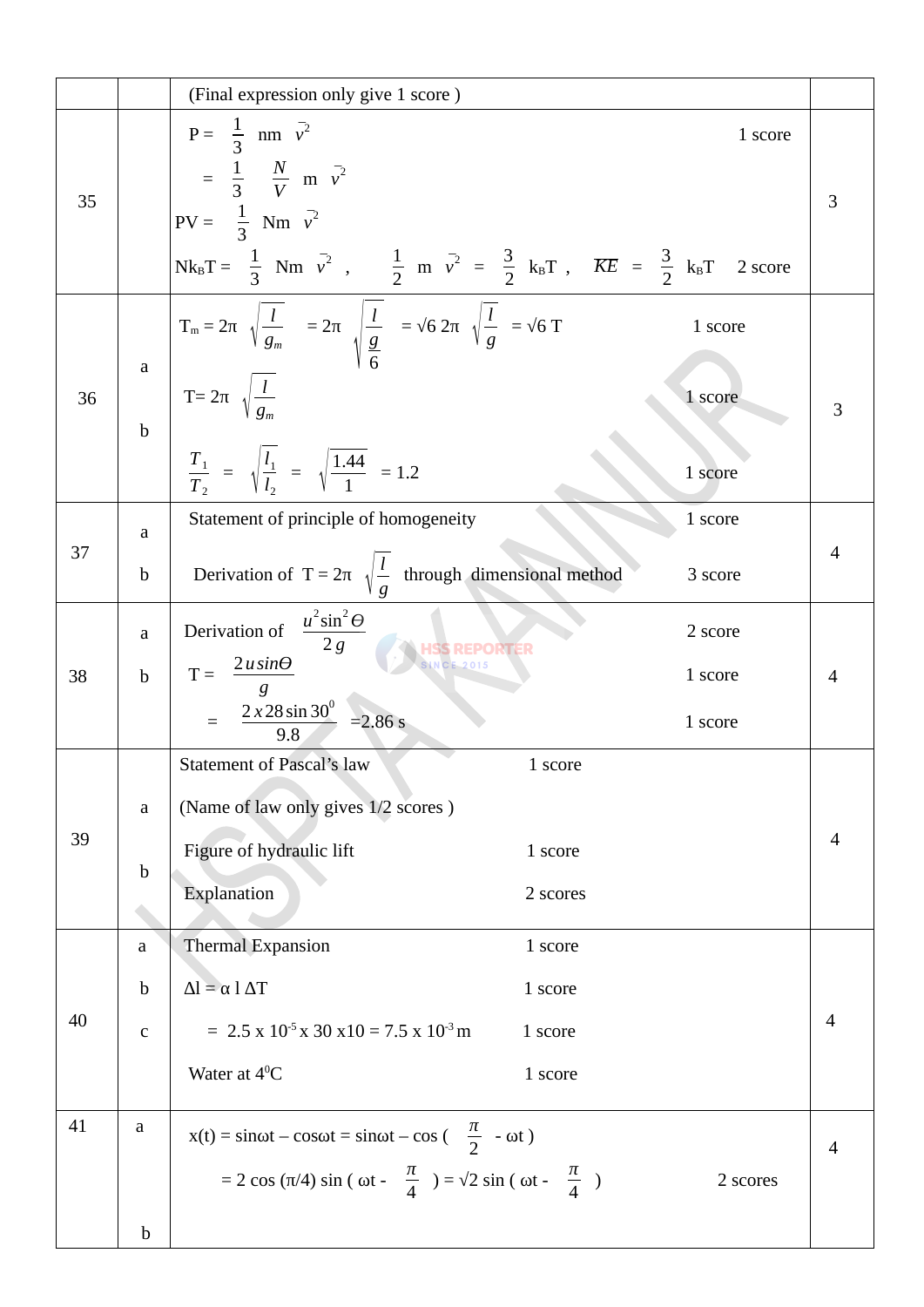|    |             | (Final expression only give 1 score)                                                                                                                              |          |                |
|----|-------------|-------------------------------------------------------------------------------------------------------------------------------------------------------------------|----------|----------------|
| 35 |             | $P = \frac{1}{3}$ nm $v^2$                                                                                                                                        | 1 score  |                |
|    |             | $=\frac{1}{3}$ $\frac{N}{V}$ m $\bar{v}^2$                                                                                                                        |          | 3              |
|    |             | $PV = \frac{1}{3} Nm v^2$                                                                                                                                         |          |                |
|    |             | Nk <sub>B</sub> T = $\frac{1}{3}$ Nm $\bar{v}^2$ , $\frac{1}{2}$ m $\bar{v}^2$ = $\frac{3}{2}$ k <sub>B</sub> T, $\overline{KE}$ = $\frac{3}{2}$ k <sub>B</sub> T | 2 score  |                |
|    |             | $T_m = 2\pi \sqrt{\frac{l}{g_m}} = 2\pi \sqrt{\frac{l}{g}} = \sqrt{6} 2\pi \sqrt{\frac{l}{g}} = \sqrt{6} T$                                                       | 1 score  |                |
| 36 | $\mathbf a$ | $T=2\pi \sqrt{\frac{l}{q_{-}}}$                                                                                                                                   | 1 score  |                |
|    | $\mathbf b$ |                                                                                                                                                                   |          | 3              |
|    |             | $rac{T_1}{T_2}$ = $\sqrt{\frac{l_1}{l_2}}$ = $\sqrt{\frac{1.44}{1}}$ = 1.2                                                                                        | 1 score  |                |
|    | a           | Statement of principle of homogeneity                                                                                                                             | 1 score  |                |
| 37 | $\mathbf b$ | Derivation of T = $2\pi \sqrt{\frac{l}{q}}$ through dimensional method                                                                                            | 3 score  | $\overline{4}$ |
|    | $\mathbf a$ | $\frac{u^2\sin^2\Theta}{2g}$<br>Derivation of                                                                                                                     | 2 score  |                |
| 38 | $\mathbf b$ | $\frac{2 \text{ u} \sin \theta}{2}$<br>$T =$                                                                                                                      | 1 score  | $\overline{4}$ |
|    |             | $= \frac{2 \times 28 \sin 30^{\circ}}{9.8} = 2.86 \text{ s}$                                                                                                      | 1 score  |                |
|    |             | <b>Statement of Pascal's law</b><br>1 score                                                                                                                       |          |                |
|    | a           | (Name of law only gives 1/2 scores)                                                                                                                               |          |                |
| 39 |             | Figure of hydraulic lift<br>1 score                                                                                                                               |          | $\overline{4}$ |
|    | $\mathbf b$ | Explanation<br>2 scores                                                                                                                                           |          |                |
|    | a           | <b>Thermal Expansion</b><br>1 score                                                                                                                               |          |                |
|    | $\mathbf b$ | $\Delta l = \alpha l \Delta T$<br>1 score                                                                                                                         |          |                |
| 40 | $\mathsf C$ | $= 2.5 \times 10^{-5} \times 30 \times 10 = 7.5 \times 10^{-3}$ m<br>1 score                                                                                      |          | 4              |
|    |             | Water at $4^0C$<br>1 score                                                                                                                                        |          |                |
| 41 | a           | $x(t) = \sin \omega t - \cos \omega t = \sin \omega t - \cos \left( \frac{\pi}{2} - \omega t \right)$                                                             |          | 4              |
|    |             | = 2 cos (π/4) sin ( ωt - $\frac{\pi}{4}$ ) = $\sqrt{2}$ sin ( ωt - $\frac{\pi}{4}$ )                                                                              | 2 scores |                |
|    | $\mathbf b$ |                                                                                                                                                                   |          |                |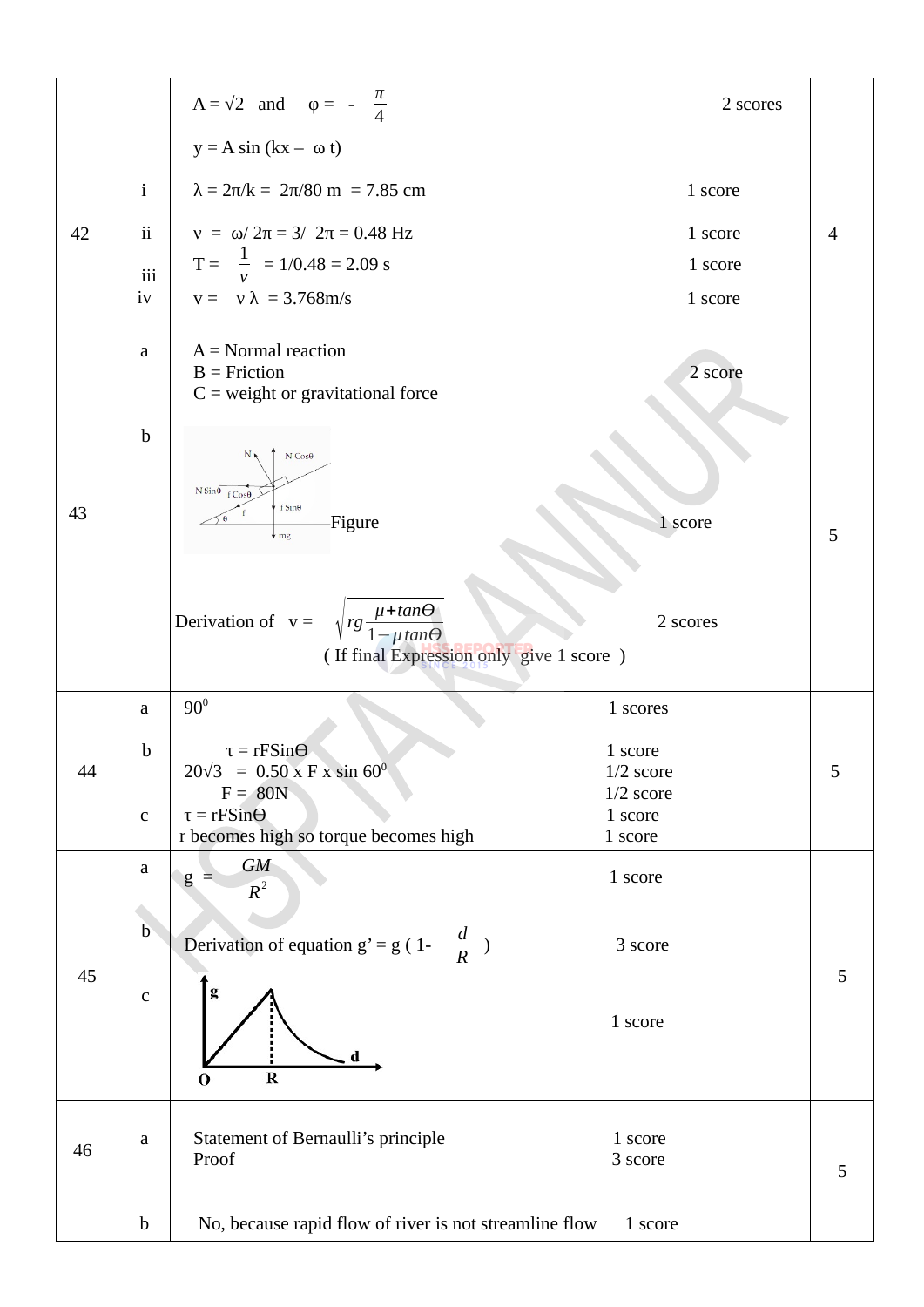|    |               | $A = \sqrt{2}$ and $\varphi = -\frac{\pi}{4}$                               | 2 scores                   |   |
|----|---------------|-----------------------------------------------------------------------------|----------------------------|---|
|    |               | $y = A \sin (kx - \omega t)$                                                |                            |   |
|    | $\mathbf{i}$  | $\lambda = 2\pi/k = 2\pi/80$ m = 7.85 cm                                    | 1 score                    |   |
| 42 | $\mathbf{ii}$ | $v = \omega / 2\pi = 3/ 2\pi = 0.48$ Hz                                     | 1 score                    | 4 |
|    | iii           | $T = \frac{1}{v}$ = 1/0.48 = 2.09 s                                         | 1 score                    |   |
|    | iv            | $v = v \lambda = 3.768$ m/s                                                 | 1 score                    |   |
|    | a             | $A = Normal reaction$<br>$B = Friction$                                     | 2 score                    |   |
|    |               | $C$ = weight or gravitational force                                         |                            |   |
|    | $\mathbf b$   |                                                                             |                            |   |
|    |               | $N \cos\theta$<br>$N_{R}$                                                   |                            |   |
| 43 |               | $N \sin\theta$ $f \cos\theta$<br>f Sin $\theta$                             |                            |   |
|    |               | -Figure<br>$\sqrt{mg}$                                                      | 1 score                    | 5 |
|    |               |                                                                             |                            |   |
|    |               | Derivation of $v = \sqrt{rg \frac{\mu + \tan \Theta}{1 - \mu \tan \Theta}}$ | 2 scores                   |   |
|    |               | (If final Expression only give 1 score)                                     |                            |   |
|    |               |                                                                             |                            |   |
|    | a             | $90^0$                                                                      | 1 scores                   |   |
|    | $\mathbf b$   | $\tau = rFSin\Theta$                                                        | 1 score                    |   |
| 44 |               | $20\sqrt{3}$ = 0.50 x F x sin 60 <sup>0</sup><br>$F = 80N$                  | $1/2$ score<br>$1/2$ score |   |
|    | $\mathsf C$   | $\tau = rFSin\Theta$                                                        | 1 score                    |   |
|    | $\mathsf a$   | r becomes high so torque becomes high<br>$\mathcal{G}M$                     | 1 score                    |   |
|    |               | g<br>$R^2$                                                                  | 1 score                    |   |
|    | $\mathbf b$   |                                                                             |                            |   |
| 45 |               | Derivation of equation $g' = g(1 - \frac{d}{R})$                            | 3 score                    | 5 |
|    | ${\mathsf C}$ |                                                                             |                            |   |
|    |               |                                                                             | 1 score                    |   |
|    |               | d<br>$\bf R$<br>$\bf{O}$                                                    |                            |   |
|    |               |                                                                             |                            |   |
| 46 | $\mathsf a$   | Statement of Bernaulli's principle                                          | 1 score                    |   |
|    |               | Proof                                                                       | 3 score                    | 5 |
|    | $\mathbf b$   | No, because rapid flow of river is not streamline flow                      | 1 score                    |   |
|    |               |                                                                             |                            |   |